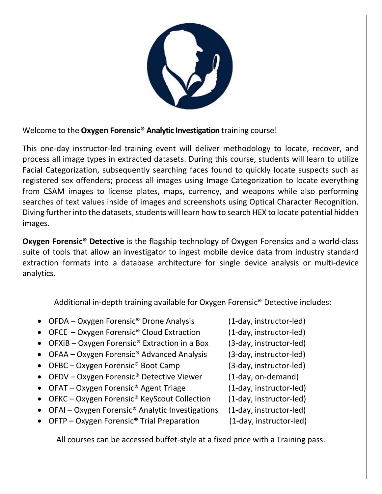

Welcome to the **Oxygen Forensic® Analytic Investigation** training course!

This one-day instructor-led training event will deliver methodology to locate, recover, and process all image types in extracted datasets. During this course, students will learn to utilize Facial Categorization, subsequently searching faces found to quickly locate suspects such as registered sex offenders; process all images using Image Categorization to locate everything from CSAM images to license plates, maps, currency, and weapons while also performing searches of text values inside of images and screenshots using Optical Character Recognition. Diving further into the datasets, students will learn how to search HEX to locate potential hidden images.

**Oxygen Forensic<sup>®</sup> Detective** is the flagship technology of Oxygen Forensics and a world-class suite of tools that allow an investigator to ingest mobile device data from industry standard extraction formats into a database architecture for single device analysis or multi-device analytics.

Additional in-depth training available for Oxygen Forensic® Detective includes:

- OFDA Oxygen Forensic<sup>®</sup> Drone Analysis (1-day, instructor-led)
- OFCE Oxygen Forensic® Cloud Extraction (1-day, instructor-led)
- OFXiB Oxygen Forensic<sup>®</sup> Extraction in a Box (3-day, instructor-led)
- OFAA Oxygen Forensic® Advanced Analysis (3-day, instructor-led)
- OFBC Oxygen Forensic<sup>®</sup> Boot Camp (3-day, instructor-led)
- OFDV Oxygen Forensic<sup>®</sup> Detective Viewer (1-day, on-demand)
- OFAT Oxygen Forensic<sup>®</sup> Agent Triage (1-day, instructor-led)
- OFKC Oxygen Forensic<sup>®</sup> KeyScout Collection (1-day, instructor-led)
- OFAI Oxygen Forensic<sup>®</sup> Analytic Investigations (1-day, instructor-led)
- OFTP Oxygen Forensic<sup>®</sup> Trial Preparation (1-day, instructor-led)

All courses can be accessed buffet-style at a fixed price with a Training pass.

- 
- 
- 
- 
- 
- 
- 
- 
- 
-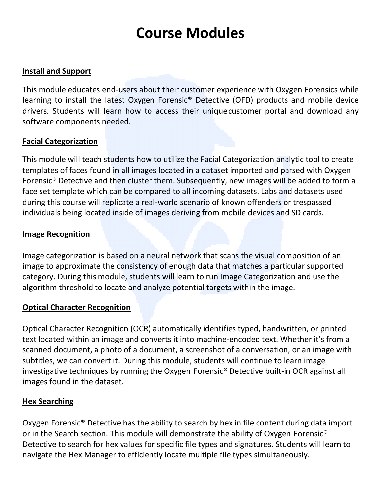# **Course Modules**

## **Install and Support**

This module educates end-users about their customer experience with Oxygen Forensics while learning to install the latest Oxygen Forensic® Detective (OFD) products and mobile device drivers. Students will learn how to access their uniquecustomer portal and download any software components needed.

## **Facial Categorization**

This module will teach students how to utilize the Facial Categorization analytic tool to create templates of faces found in all images located in a dataset imported and parsed with Oxygen Forensic® Detective and then cluster them. Subsequently, new images will be added to form a face set template which can be compared to all incoming datasets. Labs and datasets used during this course will replicate a real-world scenario of known offenders or trespassed individuals being located inside of images deriving from mobile devices and SD cards.

#### **Image Recognition**

Image categorization is based on a neural network that scans the visual composition of an image to approximate the consistency of enough data that matches a particular supported category. During this module, students will learn to run Image Categorization and use the algorithm threshold to locate and analyze potential targets within the image.

#### **Optical Character Recognition**

Optical Character Recognition (OCR) automatically identifies typed, handwritten, or printed text located within an image and converts it into machine-encoded text. Whether it's from a scanned document, a photo of a document, a screenshot of a conversation, or an image with subtitles, we can convert it. During this module, students will continue to learn image investigative techniques by running the Oxygen Forensic® Detective built-in OCR against all images found in the dataset.

#### **Hex Searching**

Oxygen Forensic® Detective has the ability to search by hex in file content during data import or in the Search section. This module will demonstrate the ability of Oxygen Forensic<sup>®</sup> Detective to search for hex values for specific file types and signatures. Students will learn to navigate the Hex Manager to efficiently locate multiple file types simultaneously.